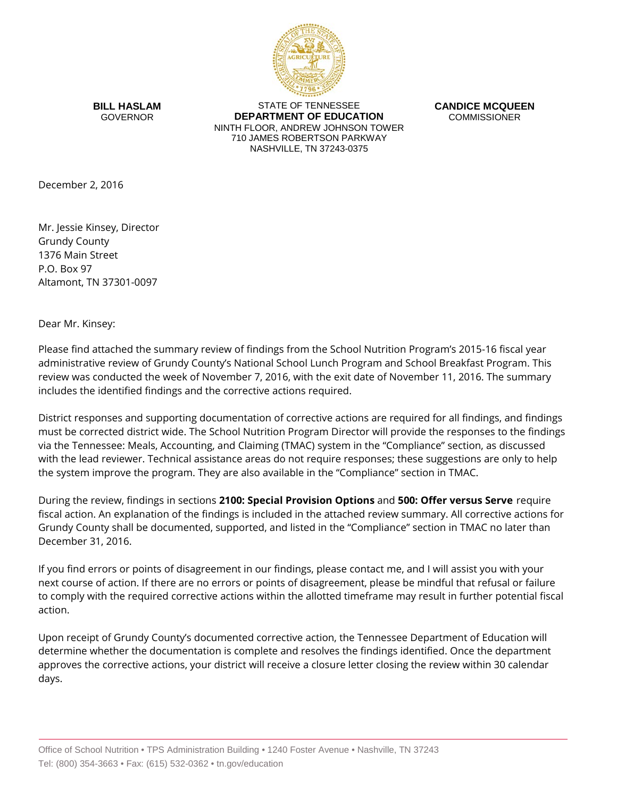

**BILL HASLAM** GOVERNOR

STATE OF TENNESSEE **DEPARTMENT OF EDUCATION** NINTH FLOOR, ANDREW JOHNSON TOWER 710 JAMES ROBERTSON PARKWAY NASHVILLE, TN 37243-0375

**CANDICE MCQUEEN** COMMISSIONER

December 2, 2016

Mr. Jessie Kinsey, Director Grundy County 1376 Main Street P.O. Box 97 Altamont, TN 37301-0097

Dear Mr. Kinsey:

Please find attached the summary review of findings from the School Nutrition Program's 2015-16 fiscal year administrative review of Grundy County's National School Lunch Program and School Breakfast Program. This review was conducted the week of November 7, 2016, with the exit date of November 11, 2016. The summary includes the identified findings and the corrective actions required.

District responses and supporting documentation of corrective actions are required for all findings, and findings must be corrected district wide. The School Nutrition Program Director will provide the responses to the findings via the Tennessee: Meals, Accounting, and Claiming (TMAC) system in the "Compliance" section, as discussed with the lead reviewer. Technical assistance areas do not require responses; these suggestions are only to help the system improve the program. They are also available in the "Compliance" section in TMAC.

During the review, findings in sections **2100: Special Provision Options** and **500: Offer versus Serve** require fiscal action. An explanation of the findings is included in the attached review summary. All corrective actions for Grundy County shall be documented, supported, and listed in the "Compliance" section in TMAC no later than December 31, 2016.

If you find errors or points of disagreement in our findings, please contact me, and I will assist you with your next course of action. If there are no errors or points of disagreement, please be mindful that refusal or failure to comply with the required corrective actions within the allotted timeframe may result in further potential fiscal action.

Upon receipt of Grundy County's documented corrective action, the Tennessee Department of Education will determine whether the documentation is complete and resolves the findings identified. Once the department approves the corrective actions, your district will receive a closure letter closing the review within 30 calendar days.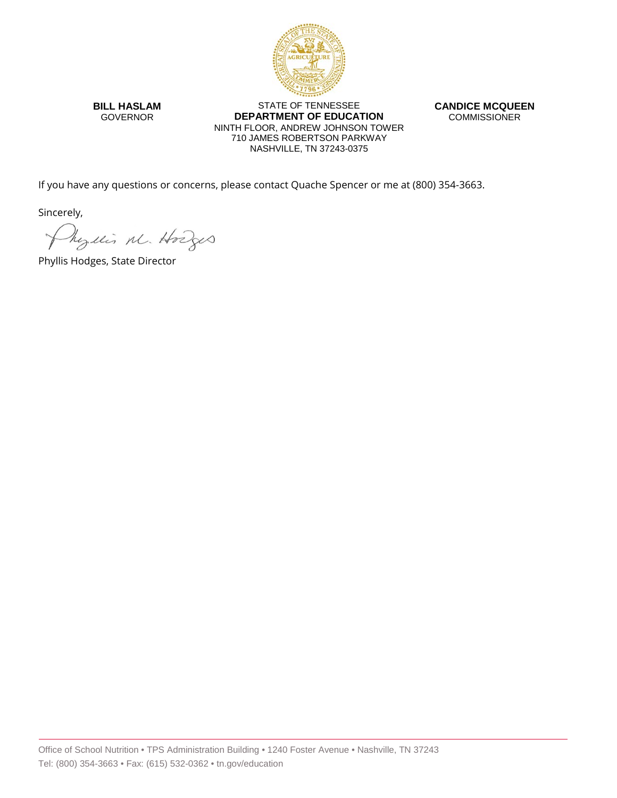

**BILL HASLAM** GOVERNOR

STATE OF TENNESSEE **DEPARTMENT OF EDUCATION** NINTH FLOOR, ANDREW JOHNSON TOWER 710 JAMES ROBERTSON PARKWAY NASHVILLE, TN 37243-0375

**CANDICE MCQUEEN** COMMISSIONER

If you have any questions or concerns, please contact Quache Spencer or me at (800) 354-3663.

Sincerely,

Myllis M. Hodges

Phyllis Hodges, State Director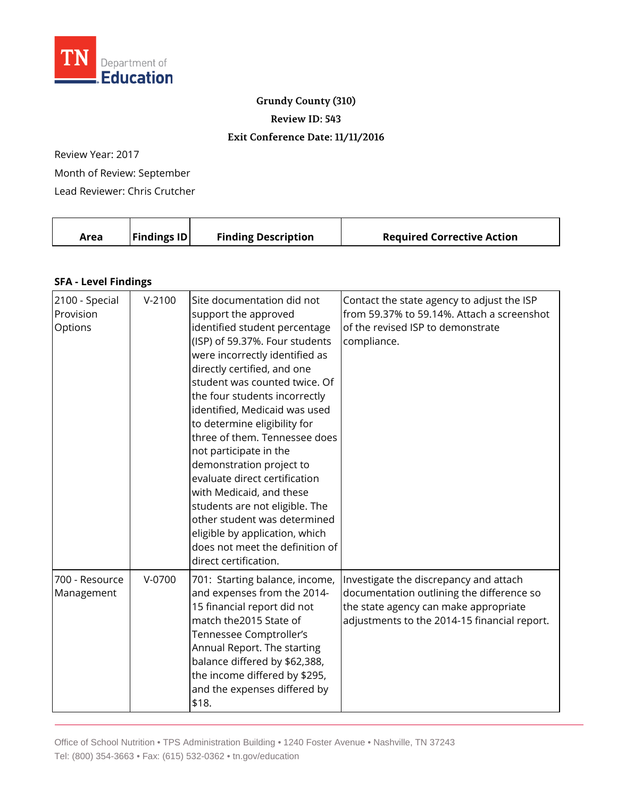

### **Grundy County (310)**

**Review ID: 543**

#### **Exit Conference Date: 11/11/2016**

Review Year: 2017

Month of Review: September

Lead Reviewer: Chris Crutcher

| Area | <b>Findings ID</b> | <b>Finding Description</b> | <b>Required Corrective Action</b> |
|------|--------------------|----------------------------|-----------------------------------|
|      |                    |                            |                                   |

#### **SFA - Level Findings**

| 2100 - Special<br>Provision<br>Options | $V-2100$ | Site documentation did not<br>support the approved<br>identified student percentage<br>(ISP) of 59.37%. Four students<br>were incorrectly identified as<br>directly certified, and one<br>student was counted twice. Of<br>the four students incorrectly<br>identified, Medicaid was used<br>to determine eligibility for<br>three of them. Tennessee does<br>not participate in the<br>demonstration project to<br>evaluate direct certification<br>with Medicaid, and these<br>students are not eligible. The<br>other student was determined<br>eligible by application, which<br>does not meet the definition of<br>direct certification. | Contact the state agency to adjust the ISP<br>from 59.37% to 59.14%. Attach a screenshot<br>of the revised ISP to demonstrate<br>compliance.                                 |
|----------------------------------------|----------|-----------------------------------------------------------------------------------------------------------------------------------------------------------------------------------------------------------------------------------------------------------------------------------------------------------------------------------------------------------------------------------------------------------------------------------------------------------------------------------------------------------------------------------------------------------------------------------------------------------------------------------------------|------------------------------------------------------------------------------------------------------------------------------------------------------------------------------|
| 700 - Resource<br>Management           | $V-0700$ | 701: Starting balance, income,<br>and expenses from the 2014-<br>15 financial report did not<br>match the2015 State of<br>Tennessee Comptroller's<br>Annual Report. The starting<br>balance differed by \$62,388,<br>the income differed by \$295,<br>and the expenses differed by<br>\$18.                                                                                                                                                                                                                                                                                                                                                   | Investigate the discrepancy and attach<br>documentation outlining the difference so<br>the state agency can make appropriate<br>adjustments to the 2014-15 financial report. |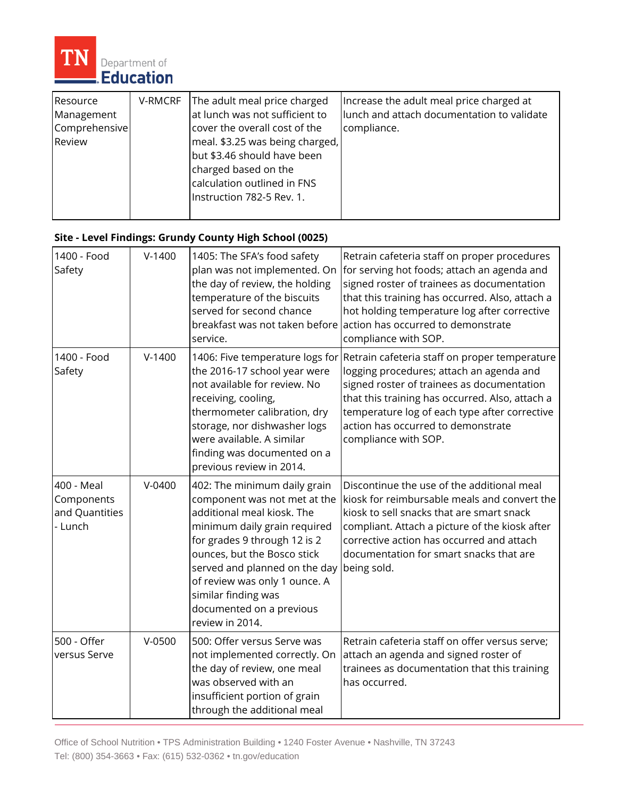

| Resource<br>Management<br>Comprehensive<br>Review | V-RMCRF | The adult meal price charged<br>at lunch was not sufficient to<br>cover the overall cost of the<br>meal. \$3.25 was being charged,<br>but \$3.46 should have been<br>charged based on the | Increase the adult meal price charged at<br>llunch and attach documentation to validate<br>compliance. |
|---------------------------------------------------|---------|-------------------------------------------------------------------------------------------------------------------------------------------------------------------------------------------|--------------------------------------------------------------------------------------------------------|
|                                                   |         | calculation outlined in FNS<br>Instruction 782-5 Rev. 1.                                                                                                                                  |                                                                                                        |
|                                                   |         |                                                                                                                                                                                           |                                                                                                        |

# **Site - Level Findings: Grundy County High School (0025)**

| 1400 - Food<br>Safety                                 | $V-1400$ | 1405: The SFA's food safety<br>plan was not implemented. On<br>the day of review, the holding<br>temperature of the biscuits<br>served for second chance<br>breakfast was not taken before<br>service.                                                                                                                            | Retrain cafeteria staff on proper procedures<br>for serving hot foods; attach an agenda and<br>signed roster of trainees as documentation<br>that this training has occurred. Also, attach a<br>hot holding temperature log after corrective<br>action has occurred to demonstrate<br>compliance with SOP. |
|-------------------------------------------------------|----------|-----------------------------------------------------------------------------------------------------------------------------------------------------------------------------------------------------------------------------------------------------------------------------------------------------------------------------------|------------------------------------------------------------------------------------------------------------------------------------------------------------------------------------------------------------------------------------------------------------------------------------------------------------|
| 1400 - Food<br>Safety                                 | $V-1400$ | 1406: Five temperature logs for<br>the 2016-17 school year were<br>not available for review. No<br>receiving, cooling,<br>thermometer calibration, dry<br>storage, nor dishwasher logs<br>were available. A similar<br>finding was documented on a<br>previous review in 2014.                                                    | Retrain cafeteria staff on proper temperature<br>logging procedures; attach an agenda and<br>signed roster of trainees as documentation<br>that this training has occurred. Also, attach a<br>temperature log of each type after corrective<br>action has occurred to demonstrate<br>compliance with SOP.  |
| 400 - Meal<br>Components<br>and Quantities<br>- Lunch | $V-0400$ | 402: The minimum daily grain<br>component was not met at the<br>additional meal kiosk. The<br>minimum daily grain required<br>for grades 9 through 12 is 2<br>ounces, but the Bosco stick<br>served and planned on the day<br>of review was only 1 ounce. A<br>similar finding was<br>documented on a previous<br>review in 2014. | Discontinue the use of the additional meal<br>kiosk for reimbursable meals and convert the<br>kiosk to sell snacks that are smart snack<br>compliant. Attach a picture of the kiosk after<br>corrective action has occurred and attach<br>documentation for smart snacks that are<br>being sold.           |
| 500 - Offer<br>versus Serve                           | $V-0500$ | 500: Offer versus Serve was<br>not implemented correctly. On<br>the day of review, one meal<br>was observed with an<br>insufficient portion of grain<br>through the additional meal                                                                                                                                               | Retrain cafeteria staff on offer versus serve;<br>attach an agenda and signed roster of<br>trainees as documentation that this training<br>has occurred.                                                                                                                                                   |